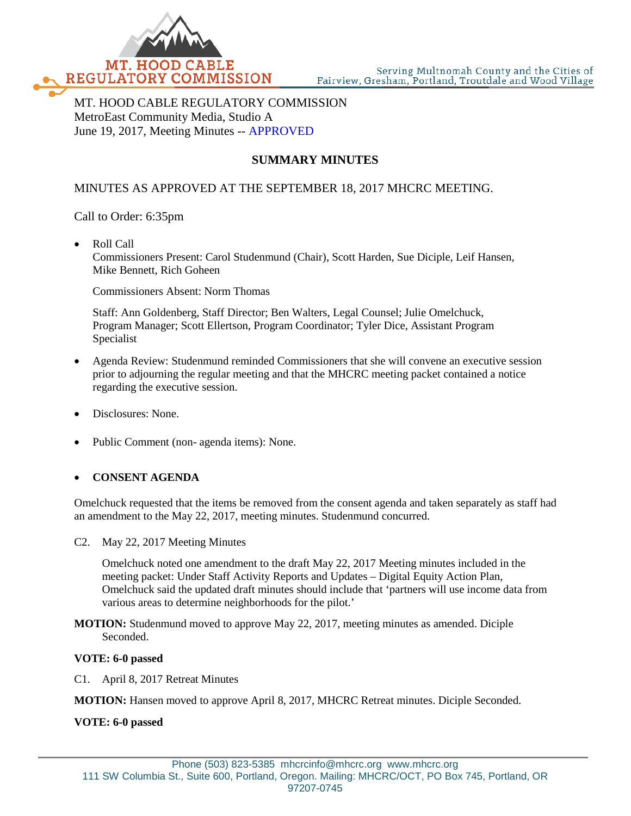

MT. HOOD CABLE REGULATORY COMMISSION MetroEast Community Media, Studio A June 19, 2017, Meeting Minutes -- APPROVED

# **SUMMARY MINUTES**

# MINUTES AS APPROVED AT THE SEPTEMBER 18, 2017 MHCRC MEETING.

Call to Order: 6:35pm

• Roll Call Commissioners Present: Carol Studenmund (Chair), Scott Harden, Sue Diciple, Leif Hansen, Mike Bennett, Rich Goheen

Commissioners Absent: Norm Thomas

Staff: Ann Goldenberg, Staff Director; Ben Walters, Legal Counsel; Julie Omelchuck, Program Manager; Scott Ellertson, Program Coordinator; Tyler Dice, Assistant Program Specialist

- Agenda Review: Studenmund reminded Commissioners that she will convene an executive session prior to adjourning the regular meeting and that the MHCRC meeting packet contained a notice regarding the executive session.
- Disclosures: None.
- Public Comment (non- agenda items): None.

# • **CONSENT AGENDA**

Omelchuck requested that the items be removed from the consent agenda and taken separately as staff had an amendment to the May 22, 2017, meeting minutes. Studenmund concurred.

C2. May 22, 2017 Meeting Minutes

Omelchuck noted one amendment to the draft May 22, 2017 Meeting minutes included in the meeting packet: Under Staff Activity Reports and Updates – Digital Equity Action Plan, Omelchuck said the updated draft minutes should include that 'partners will use income data from various areas to determine neighborhoods for the pilot.'

**MOTION:** Studenmund moved to approve May 22, 2017, meeting minutes as amended. Diciple Seconded.

### **VOTE: 6-0 passed**

C1. April 8, 2017 Retreat Minutes

**MOTION:** Hansen moved to approve April 8, 2017, MHCRC Retreat minutes. Diciple Seconded.

**VOTE: 6-0 passed**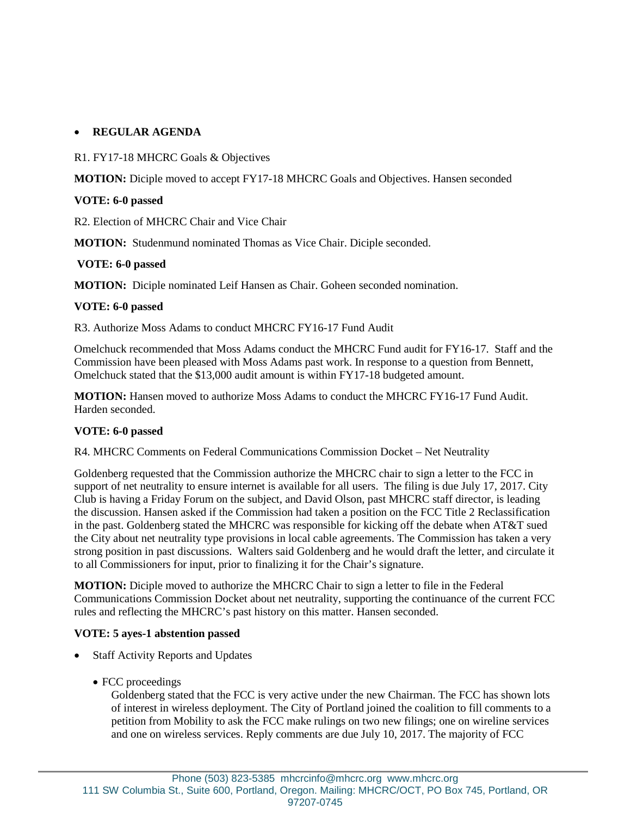# • **REGULAR AGENDA**

R1. FY17-18 MHCRC Goals & Objectives

**MOTION:** Diciple moved to accept FY17-18 MHCRC Goals and Objectives. Hansen seconded

## **VOTE: 6-0 passed**

R2. Election of MHCRC Chair and Vice Chair

**MOTION:** Studenmund nominated Thomas as Vice Chair. Diciple seconded.

## **VOTE: 6-0 passed**

**MOTION:** Diciple nominated Leif Hansen as Chair. Goheen seconded nomination.

### **VOTE: 6-0 passed**

R3. Authorize Moss Adams to conduct MHCRC FY16-17 Fund Audit

Omelchuck recommended that Moss Adams conduct the MHCRC Fund audit for FY16-17. Staff and the Commission have been pleased with Moss Adams past work. In response to a question from Bennett, Omelchuck stated that the \$13,000 audit amount is within FY17-18 budgeted amount.

**MOTION:** Hansen moved to authorize Moss Adams to conduct the MHCRC FY16-17 Fund Audit. Harden seconded.

# **VOTE: 6-0 passed**

R4. MHCRC Comments on Federal Communications Commission Docket – Net Neutrality

Goldenberg requested that the Commission authorize the MHCRC chair to sign a letter to the FCC in support of net neutrality to ensure internet is available for all users. The filing is due July 17, 2017. City Club is having a Friday Forum on the subject, and David Olson, past MHCRC staff director, is leading the discussion. Hansen asked if the Commission had taken a position on the FCC Title 2 Reclassification in the past. Goldenberg stated the MHCRC was responsible for kicking off the debate when AT&T sued the City about net neutrality type provisions in local cable agreements. The Commission has taken a very strong position in past discussions. Walters said Goldenberg and he would draft the letter, and circulate it to all Commissioners for input, prior to finalizing it for the Chair's signature.

**MOTION:** Diciple moved to authorize the MHCRC Chair to sign a letter to file in the Federal Communications Commission Docket about net neutrality, supporting the continuance of the current FCC rules and reflecting the MHCRC's past history on this matter. Hansen seconded.

### **VOTE: 5 ayes-1 abstention passed**

- **Staff Activity Reports and Updates** 
	- FCC proceedings

Goldenberg stated that the FCC is very active under the new Chairman. The FCC has shown lots of interest in wireless deployment. The City of Portland joined the coalition to fill comments to a petition from Mobility to ask the FCC make rulings on two new filings; one on wireline services and one on wireless services. Reply comments are due July 10, 2017. The majority of FCC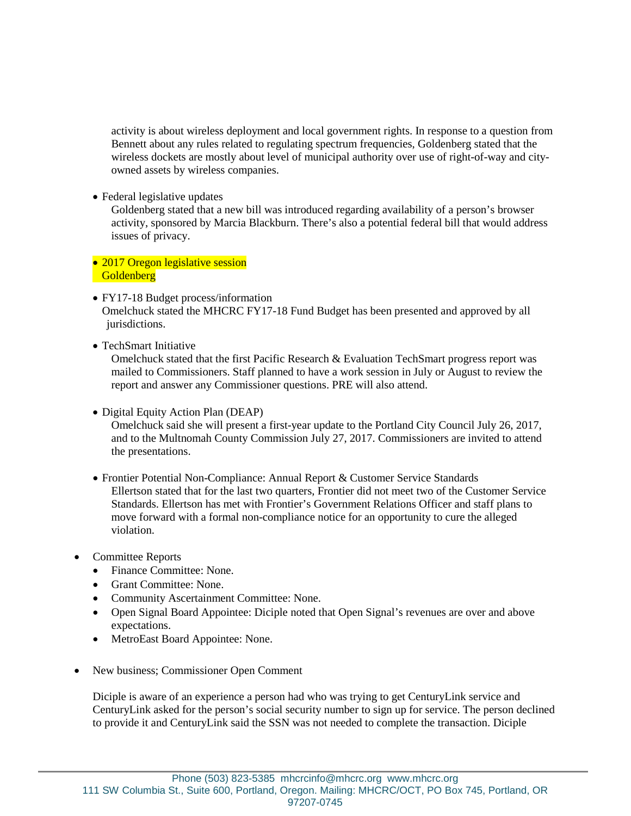activity is about wireless deployment and local government rights. In response to a question from Bennett about any rules related to regulating spectrum frequencies, Goldenberg stated that the wireless dockets are mostly about level of municipal authority over use of right-of-way and cityowned assets by wireless companies.

• Federal legislative updates

Goldenberg stated that a new bill was introduced regarding availability of a person's browser activity, sponsored by Marcia Blackburn. There's also a potential federal bill that would address issues of privacy.

- 2017 Oregon legislative session **Goldenberg**
- FY17-18 Budget process/information Omelchuck stated the MHCRC FY17-18 Fund Budget has been presented and approved by all jurisdictions.
- TechSmart Initiative

Omelchuck stated that the first Pacific Research & Evaluation TechSmart progress report was mailed to Commissioners. Staff planned to have a work session in July or August to review the report and answer any Commissioner questions. PRE will also attend.

• Digital Equity Action Plan (DEAP)

Omelchuck said she will present a first-year update to the Portland City Council July 26, 2017, and to the Multnomah County Commission July 27, 2017. Commissioners are invited to attend the presentations.

- Frontier Potential Non-Compliance: Annual Report & Customer Service Standards Ellertson stated that for the last two quarters, Frontier did not meet two of the Customer Service Standards. Ellertson has met with Frontier's Government Relations Officer and staff plans to move forward with a formal non-compliance notice for an opportunity to cure the alleged violation.
- Committee Reports
	- Finance Committee: None.
	- Grant Committee: None.
	- Community Ascertainment Committee: None.
	- Open Signal Board Appointee: Diciple noted that Open Signal's revenues are over and above expectations.
	- MetroEast Board Appointee: None.
- New business; Commissioner Open Comment

Diciple is aware of an experience a person had who was trying to get CenturyLink service and CenturyLink asked for the person's social security number to sign up for service. The person declined to provide it and CenturyLink said the SSN was not needed to complete the transaction. Diciple